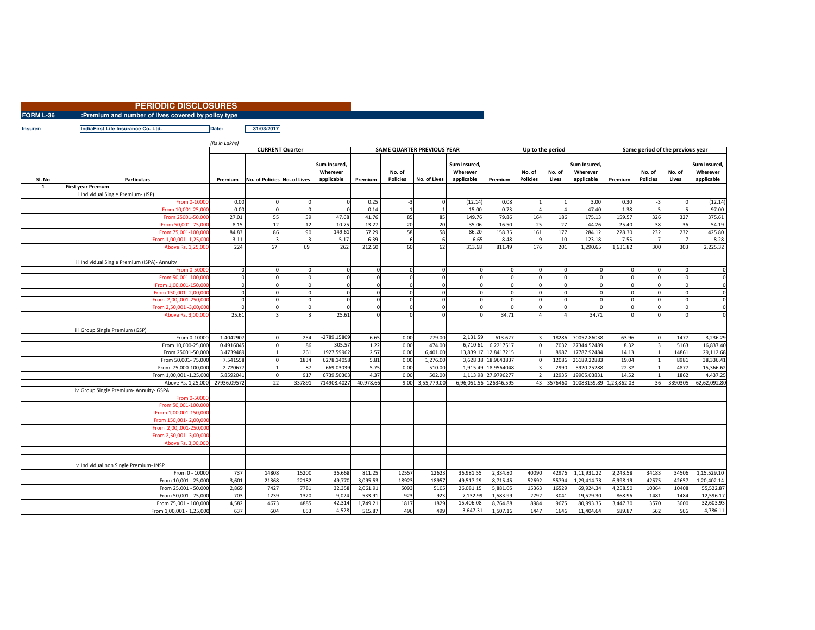|                  | <b>PERIODIC DISCLOSURES</b>                          |  |
|------------------|------------------------------------------------------|--|
| <b>FORM L-36</b> | : Premium and number of lives covered by policy type |  |

**Insurer:**

**IndiaFirst Life Insurance Co. Ltd. Date: 31/03/2017**

|        |                                              | (Rs in Lakhs)          |                              |        |                                        |           |                                   |              |                                              |            |                           |                  |                                        |          |                                  |                          |                                        |
|--------|----------------------------------------------|------------------------|------------------------------|--------|----------------------------------------|-----------|-----------------------------------|--------------|----------------------------------------------|------------|---------------------------|------------------|----------------------------------------|----------|----------------------------------|--------------------------|----------------------------------------|
|        |                                              | <b>CURRENT Quarter</b> |                              |        |                                        |           | <b>SAME QUARTER PREVIOUS YEAR</b> |              |                                              |            |                           | Up to the period |                                        |          | Same period of the previous year |                          |                                        |
| Sl. No | <b>Particulars</b>                           | Premium                | No. of Policies No. of Lives |        | Sum Insured.<br>Wherever<br>applicable | Premium   | No. of<br><b>Policies</b>         | No. of Lives | <b>Sum Insured</b><br>Wherever<br>applicable | Premium    | No. of<br><b>Policies</b> | No. of<br>Lives  | Sum Insured.<br>Wherever<br>applicable | Premium  | No. of<br><b>Policies</b>        | No. of<br>Lives          | Sum Insured.<br>Wherever<br>applicable |
| 1      | <b>First vear Premum</b>                     |                        |                              |        |                                        |           |                                   |              |                                              |            |                           |                  |                                        |          |                                  |                          |                                        |
|        | Individual Single Premium- (ISP)             |                        |                              |        |                                        |           |                                   |              |                                              |            |                           |                  |                                        |          |                                  |                          |                                        |
|        | From 0-1000                                  | 0.00                   |                              |        |                                        | 0.25      | $-3$                              |              | (12.14)                                      | 0.08       |                           |                  | 3.00                                   | 0.30     | $-3$                             | $\Omega$                 | (12.14)                                |
|        | From 10.001-25.0                             | 0.00                   |                              |        |                                        | 0.14      |                                   |              | 15.00                                        | 0.73       |                           |                  | 47.40                                  | 1.38     | 5                                | $\overline{\phantom{a}}$ | 97.00                                  |
|        | From 25001-50.00                             | 27.01                  | 55                           | 59     | 47.68                                  | 41.76     | 85                                | 85           | 149.76                                       | 79.86      | 164                       | 186              | 175.13                                 | 159.57   | 326                              | 327                      | 375.61                                 |
|        | From 50.001-75.0                             | 8.15                   | 12                           | 12     | 10.75                                  | 13.27     | 20                                | 20           | 35.06                                        | 16.50      | 25                        | 27               | 44.26                                  | 25.40    | 38                               | 36                       | 54.19                                  |
|        | From 75,001-100.00                           | 84.83                  | 86                           | 90     | 149.61                                 | 57.29     | 58                                | 58           | 86.20                                        | 158.35     | 161                       | 177              | 284.12                                 | 228.30   | 232                              | 232                      | 425.80                                 |
|        | From 1,00,001 -1,25,00                       | 3.11                   |                              |        | 5.17                                   | 6.39      |                                   |              | 6.65                                         | 8.48       | $\alpha$                  | 10               | 123.18                                 | 7.55     |                                  | $\overline{7}$           | 8.28                                   |
|        | Above Rs. 1,25,00                            | 224                    | 67                           | 69     | 262                                    | 212.60    | 60                                | 62           | 313.68                                       | 811.49     | 176                       | 201              | 1,290.65                               | 1,631.82 | 300                              | 303                      | 2,225.32                               |
|        |                                              |                        |                              |        |                                        |           |                                   |              |                                              |            |                           |                  |                                        |          |                                  |                          |                                        |
|        | Individual Single Premium (ISPA)- Annuity    |                        |                              |        |                                        |           |                                   |              |                                              |            |                           |                  |                                        |          |                                  |                          |                                        |
|        | From 0-5000                                  |                        |                              |        |                                        | $\Omega$  |                                   |              |                                              |            |                           |                  |                                        |          |                                  | $\Omega$                 | $\Omega$                               |
|        | From 50.001-100.00                           |                        |                              |        |                                        |           |                                   |              |                                              |            |                           |                  |                                        |          |                                  | $\Omega$                 | $\Omega$                               |
|        | From 1.00.001-150.00                         |                        |                              |        |                                        |           |                                   |              |                                              |            |                           |                  |                                        |          |                                  | $\Omega$                 | $\Omega$                               |
|        | From 150,001-2,00.00                         |                        |                              |        |                                        | $\Omega$  |                                   |              |                                              |            | $\Omega$                  |                  |                                        |          |                                  | $\Omega$                 | $\mathbf{0}$                           |
|        | From 2.00001-250.00                          |                        |                              |        |                                        | $\Omega$  |                                   |              |                                              |            |                           |                  |                                        |          |                                  | $\Omega$                 | $\Omega$                               |
|        | From 2.50.001 -3.00.00                       |                        |                              |        |                                        | $\Omega$  |                                   |              |                                              |            | $\Omega$                  | n                |                                        |          | $\Omega$                         | $\Omega$                 | $\overline{0}$                         |
|        | Above Rs. 3,00,00                            | 25.61                  |                              |        | 25.61                                  | $\Omega$  |                                   |              |                                              | 34.71      |                           |                  | 34.71                                  |          |                                  | $\Omega$                 | $\Omega$                               |
|        |                                              |                        |                              |        |                                        |           |                                   |              |                                              |            |                           |                  |                                        |          |                                  |                          |                                        |
|        | iii Group Single Premium (GSP)               |                        |                              |        |                                        |           |                                   |              |                                              |            |                           |                  |                                        |          |                                  |                          |                                        |
|        | From 0-1000                                  | $-1.4042907$           |                              | $-254$ | $-2789.15809$                          | $-6.65$   | 0.00                              | 279.00       | 2,131.59                                     | $-613.62$  |                           | $-18286$         | $-70052.86038$                         | $-63.96$ |                                  | 1477                     | 3.236.29                               |
|        | From 10,000-25,00                            | 0.4916045              |                              | 86     | 305.57                                 | 1.22      | 0.00                              | 474.00       | 6,710.6                                      | 6.221751   | $\Omega$                  | 7032             | 27344.52489                            | 8.32     |                                  | 5163                     | 16,837.40                              |
|        | From 25001-50,00                             | 3.4739489              |                              | 261    | 1927.59962                             | 2.57      | 0.00                              | 6,401.00     | 13,839.17                                    | 12.8417215 |                           | 8987             | 17787.92484                            | 14.13    |                                  | 14861                    | 29,112.68                              |
|        | From 50,001-75,00                            | 7.541558               |                              | 1834   | 6278.14058                             | 5.81      | 0.00                              | 1,276.00     | 3,628.38                                     | 18.964383  | $\Omega$                  | 12086            | 26189.22883                            | 19.04    |                                  | 8981                     | 38,336.41                              |
|        | From 75,000-100,00                           | 2.72067                |                              | 87     | 669.03039                              | 5.75      | 0.00                              | 510.00       | 1,915.49                                     | 18.9564048 |                           | 2990             | 5920.25288                             | 22.32    |                                  | 4877                     | 15,366.62                              |
|        | From 1,00,001 -1,25,00                       | 5.8592041              |                              | 917    | 6739.50303                             | 4.37      | 0.00                              | 502.00       | 1,113.98                                     | 27.979627  |                           | 12935            | 19905.0383                             | 14.52    |                                  | 1862                     | 4,437.25                               |
|        | Above Rs. 1,25,000                           | 27936.09572            | 22                           | 337891 | 714908.4027                            | 40,978.66 | 9.00                              | 3,55,779.00  | 6,96,051.56                                  | 126346.595 | 43                        | 3576460          | 10083159.89 1,23,862.03                |          | 36                               | 3390305                  | 62.62.092.80                           |
|        | iv Group Single Premium- Annuity- GSPA       |                        |                              |        |                                        |           |                                   |              |                                              |            |                           |                  |                                        |          |                                  |                          |                                        |
|        | From 0-5000                                  |                        |                              |        |                                        |           |                                   |              |                                              |            |                           |                  |                                        |          |                                  |                          |                                        |
|        | From 50.001-100.00                           |                        |                              |        |                                        |           |                                   |              |                                              |            |                           |                  |                                        |          |                                  |                          |                                        |
|        | From 1.00.001-150.00<br>From 150.001-2.00.00 |                        |                              |        |                                        |           |                                   |              |                                              |            |                           |                  |                                        |          |                                  |                          |                                        |
|        | From 2.00001-250.00                          |                        |                              |        |                                        |           |                                   |              |                                              |            |                           |                  |                                        |          |                                  |                          |                                        |
|        | From 2,50,001 -3,00,00                       |                        |                              |        |                                        |           |                                   |              |                                              |            |                           |                  |                                        |          |                                  |                          |                                        |
|        | Above Rs. 3,00.00                            |                        |                              |        |                                        |           |                                   |              |                                              |            |                           |                  |                                        |          |                                  |                          |                                        |
|        |                                              |                        |                              |        |                                        |           |                                   |              |                                              |            |                           |                  |                                        |          |                                  |                          |                                        |
|        |                                              |                        |                              |        |                                        |           |                                   |              |                                              |            |                           |                  |                                        |          |                                  |                          |                                        |
|        | Individual non Single Premium- INSP          |                        |                              |        |                                        |           |                                   |              |                                              |            |                           |                  |                                        |          |                                  |                          |                                        |
|        | From 0 - 1000                                | 737                    | 14808                        | 15200  | 36,668                                 | 811.25    | 12557                             | 12623        | 36,981.55                                    | 2,334.80   | 40090                     | 42976            | 1,11,931.22                            | 2,243.58 | 34183                            | 34506                    | 1,15,529.10                            |
|        | From 10,001 - 25,00                          | 3,601                  | 21368                        | 22182  | 49,770                                 | 3,095.53  | 18923                             | 1895         | 49,517.29                                    | 8,715.45   | 52692                     | 55794            | 1,29,414.73                            | 6,998.19 | 42575                            | 4265                     | 1,20,402.14                            |
|        | From 25,001 - 50,00                          | 2,869                  | 7427                         | 7781   | 32,358                                 | 2,061.91  | 5093                              | 5105         | 26,081.15                                    | 5,881.05   | 15363                     | 16529            | 69,924.34                              | 4,258.50 | 10364                            | 10408                    | 55,522.87                              |
|        | From 50,001 - 75,00                          | 703                    | 1239                         | 1320   | 9,024                                  | 533.91    | 923                               | 923          | 7,132.99                                     | 1,583.99   | 2792                      | 3041             | 19,579.30                              | 868.96   | 1481                             | 1484                     | 12,596.17                              |
|        | From 75,001 - 100,00                         | 4,582                  | 4673                         | 4885   | 42,314                                 | 1,749.21  | 1817                              | 1829         | 15,406.08                                    | 8,764.88   | 8984                      | 9675             | 80,993.35                              | 3,447.30 | 3570                             | 3600                     | 32,603.93                              |
|        | From 1,00,001 - 1,25,000                     | 637                    | 604                          | 653    | 4,528                                  | 515.87    | 496                               | 499          | 3,647.31                                     | 1,507.16   | 1447                      | 1646             | 11,404.64                              | 589.87   | 562                              | 566                      | 4,786.11                               |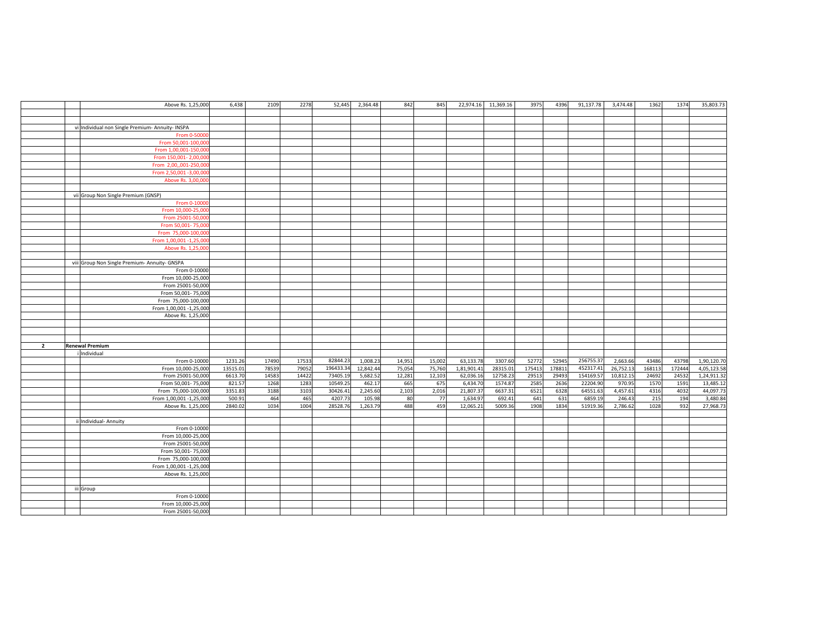|                | Above Rs. 1,25,000                               | 6,438    | 2109  | 2278  | 52,445    | 2,364.48  | 842    | 845    |             | 22,974.16 11,369.16 | 3975  | 4396  | 91,137.78 | 3,474.48  | 1362   | 1374   | 35,803.73   |
|----------------|--------------------------------------------------|----------|-------|-------|-----------|-----------|--------|--------|-------------|---------------------|-------|-------|-----------|-----------|--------|--------|-------------|
|                |                                                  |          |       |       |           |           |        |        |             |                     |       |       |           |           |        |        |             |
|                |                                                  |          |       |       |           |           |        |        |             |                     |       |       |           |           |        |        |             |
|                |                                                  |          |       |       |           |           |        |        |             |                     |       |       |           |           |        |        |             |
|                | vi Individual non Single Premium- Annuity- INSPA |          |       |       |           |           |        |        |             |                     |       |       |           |           |        |        |             |
|                | From 0-5000                                      |          |       |       |           |           |        |        |             |                     |       |       |           |           |        |        |             |
|                | From 50,001-100,00                               |          |       |       |           |           |        |        |             |                     |       |       |           |           |        |        |             |
|                | From 1,00,001-150,00                             |          |       |       |           |           |        |        |             |                     |       |       |           |           |        |        |             |
|                | From 150,001-2,00,00                             |          |       |       |           |           |        |        |             |                     |       |       |           |           |        |        |             |
|                | From 2,00,,001-250,0                             |          |       |       |           |           |        |        |             |                     |       |       |           |           |        |        |             |
|                | From 2,50,001 -3,00,00                           |          |       |       |           |           |        |        |             |                     |       |       |           |           |        |        |             |
|                | Above Rs. 3,00,00                                |          |       |       |           |           |        |        |             |                     |       |       |           |           |        |        |             |
|                |                                                  |          |       |       |           |           |        |        |             |                     |       |       |           |           |        |        |             |
|                | vii Group Non Single Premium (GNSP)              |          |       |       |           |           |        |        |             |                     |       |       |           |           |        |        |             |
|                | From 0-1000                                      |          |       |       |           |           |        |        |             |                     |       |       |           |           |        |        |             |
|                | From 10,000-25,00                                |          |       |       |           |           |        |        |             |                     |       |       |           |           |        |        |             |
|                |                                                  |          |       |       |           |           |        |        |             |                     |       |       |           |           |        |        |             |
|                | From 25001-50,00                                 |          |       |       |           |           |        |        |             |                     |       |       |           |           |        |        |             |
|                | From 50,001-75,00                                |          |       |       |           |           |        |        |             |                     |       |       |           |           |        |        |             |
|                | From 75,000-100,00                               |          |       |       |           |           |        |        |             |                     |       |       |           |           |        |        |             |
|                | From 1,00,001 -1,25,00                           |          |       |       |           |           |        |        |             |                     |       |       |           |           |        |        |             |
|                | Above Rs. 1,25,000                               |          |       |       |           |           |        |        |             |                     |       |       |           |           |        |        |             |
|                |                                                  |          |       |       |           |           |        |        |             |                     |       |       |           |           |        |        |             |
|                | viii Group Non Single Premium- Annuity- GNSPA    |          |       |       |           |           |        |        |             |                     |       |       |           |           |        |        |             |
|                | From 0-10000                                     |          |       |       |           |           |        |        |             |                     |       |       |           |           |        |        |             |
|                | From 10,000-25,000                               |          |       |       |           |           |        |        |             |                     |       |       |           |           |        |        |             |
|                | From 25001-50,000                                |          |       |       |           |           |        |        |             |                     |       |       |           |           |        |        |             |
|                | From 50,001-75,000                               |          |       |       |           |           |        |        |             |                     |       |       |           |           |        |        |             |
|                | From 75,000-100,000                              |          |       |       |           |           |        |        |             |                     |       |       |           |           |        |        |             |
|                | From 1,00,001 -1,25,000                          |          |       |       |           |           |        |        |             |                     |       |       |           |           |        |        |             |
|                | Above Rs. 1,25,000                               |          |       |       |           |           |        |        |             |                     |       |       |           |           |        |        |             |
|                |                                                  |          |       |       |           |           |        |        |             |                     |       |       |           |           |        |        |             |
|                |                                                  |          |       |       |           |           |        |        |             |                     |       |       |           |           |        |        |             |
|                |                                                  |          |       |       |           |           |        |        |             |                     |       |       |           |           |        |        |             |
| $\overline{2}$ | <b>Renewal Premium</b>                           |          |       |       |           |           |        |        |             |                     |       |       |           |           |        |        |             |
|                | Individual                                       |          |       |       |           |           |        |        |             |                     |       |       |           |           |        |        |             |
|                |                                                  |          |       |       |           |           |        |        |             |                     |       |       |           |           |        |        |             |
|                | From 0-10000                                     | 1231.26  | 17490 | 17533 | 82844.23  | 1,008.23  | 14,951 | 15,002 | 63,133.78   | 3307.60             | 52772 | 52945 | 256755.3  | 2,663.66  | 43486  | 43798  | 1,90,120.70 |
|                | From 10,000-25,000                               | 13515.01 | 78539 | 79052 | 196433.34 | 12,842.44 | 75,054 | 75,760 | 1,81,901.41 | 28315.0             | 17541 | 17881 | 452317.4  | 26,752.13 | 168113 | 172444 | 4,05,123.58 |
|                | From 25001-50,000                                | 6613.70  | 14583 | 14422 | 73405.19  | 5,682.52  | 12,281 | 12,103 | 62,036.16   | 12758.2             | 29513 | 29493 | 154169.57 | 10,812.15 | 24692  | 24532  | 1,24,911.3  |
|                | From 50,001-75,000                               | 821.57   | 1268  | 1283  | 10549.25  | 462.1     | 665    | 675    | 6,434.70    | 1574.8              | 2585  | 2636  | 22204.90  | 970.95    | 1570   | 1591   | 13,485.12   |
|                | From 75,000-100,000                              | 3351.83  | 3188  | 3103  | 30426.41  | 2,245.60  | 2,103  | 2,016  | 21,807.3    | 6637.3              | 652   | 6328  | 64551.6   | 4,457.61  | 4316   | 4032   | 44,097.7    |
|                | From 1,00,001 -1,25,000                          | 500.91   | 464   | 465   | 4207.7    | 105.98    | 80     | 77     | 1,634.97    | 692.41              | 641   | 631   | 6859.1    | 246.43    | 215    | 194    | 3,480.84    |
|                | Above Rs. 1,25,000                               | 2840.02  | 1034  | 1004  | 28528.76  | 1,263.79  | 488    | 459    | 12,065.21   | 5009.36             | 1908  | 1834  | 51919.3   | 2,786.62  | 1028   | 932    | 27,968.73   |
|                |                                                  |          |       |       |           |           |        |        |             |                     |       |       |           |           |        |        |             |
|                | ii Individual- Annuity                           |          |       |       |           |           |        |        |             |                     |       |       |           |           |        |        |             |
|                | From 0-10000                                     |          |       |       |           |           |        |        |             |                     |       |       |           |           |        |        |             |
|                | From 10,000-25,000                               |          |       |       |           |           |        |        |             |                     |       |       |           |           |        |        |             |
|                | From 25001-50,000                                |          |       |       |           |           |        |        |             |                     |       |       |           |           |        |        |             |
|                | From 50,001-75,000                               |          |       |       |           |           |        |        |             |                     |       |       |           |           |        |        |             |
|                | From 75,000-100,000                              |          |       |       |           |           |        |        |             |                     |       |       |           |           |        |        |             |
|                | From 1,00,001 -1,25,000                          |          |       |       |           |           |        |        |             |                     |       |       |           |           |        |        |             |
|                | Above Rs. 1,25,000                               |          |       |       |           |           |        |        |             |                     |       |       |           |           |        |        |             |
|                |                                                  |          |       |       |           |           |        |        |             |                     |       |       |           |           |        |        |             |
|                | iii Group                                        |          |       |       |           |           |        |        |             |                     |       |       |           |           |        |        |             |
|                | From 0-10000                                     |          |       |       |           |           |        |        |             |                     |       |       |           |           |        |        |             |
|                | From 10,000-25,000                               |          |       |       |           |           |        |        |             |                     |       |       |           |           |        |        |             |
|                | From 25001-50,000                                |          |       |       |           |           |        |        |             |                     |       |       |           |           |        |        |             |
|                |                                                  |          |       |       |           |           |        |        |             |                     |       |       |           |           |        |        |             |